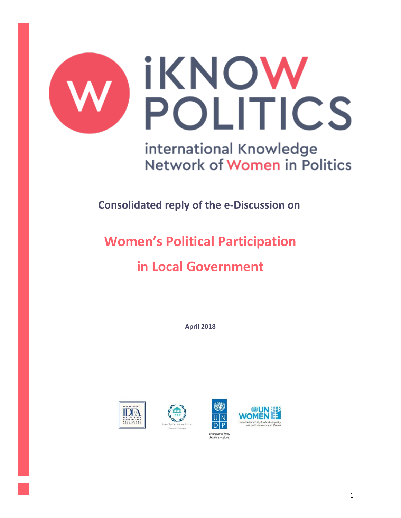

international Knowledge Network of Women in Politics

**Consolidated reply of the e-Discussion on**

# **Women's Political Participation**

# **in Local Government**

**April 2018**





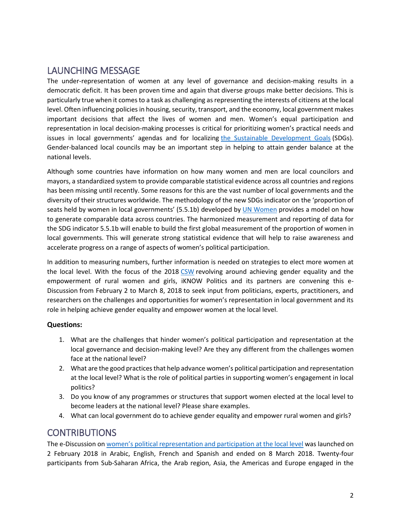# LAUNCHING MESSAGE

The under-representation of women at any level of governance and decision-making results in a democratic deficit. It has been proven time and again that diverse groups make better decisions. This is particularly true when it comes to a task as challenging as representing the interests of citizens at the local level. Often influencing policies in housing, security, transport, and the economy, local government makes important decisions that affect the lives of women and men. Women's equal participation and representation in local decision-making processes is critical for prioritizing women's practical needs and issues in local governments' agendas and for localizing [the Sustainable Development Goals](http://www.un.org/sustainabledevelopment/sustainable-development-goals/) (SDGs). Gender-balanced local councils may be an important step in helping to attain gender balance at the national levels.

Although some countries have information on how many women and men are local councilors and mayors, a standardized system to provide comparable statistical evidence across all countries and regions has been missing until recently. Some reasons for this are the vast number of local governments and the diversity of their structures worldwide. The methodology of the new SDGs indicator on the 'proportion of seats held by women in local governments' (5.5.1b) developed by [UN Women](http://www.unwomen.org/en) provides a model on how to generate comparable data across countries. The harmonized measurement and reporting of data for the SDG indicator 5.5.1b will enable to build the first global measurement of the proportion of women in local governments. This will generate strong statistical evidence that will help to raise awareness and accelerate progress on a range of aspects of women's political participation.

In addition to measuring numbers, further information is needed on strategies to elect more women at the local level. With the focus of the 2018 [CSW](http://www.unwomen.org/en/csw/csw62-2018) revolving around achieving gender equality and the empowerment of rural women and girls, iKNOW Politics and its partners are convening this e-Discussion from February 2 to March 8, 2018 to seek input from politicians, experts, practitioners, and researchers on the challenges and opportunities for women's representation in local government and its role in helping achieve gender equality and empower women at the local level.

#### **Questions:**

- 1. What are the challenges that hinder women's political participation and representation at the local governance and decision-making level? Are they any different from the challenges women face at the national level?
- 2. What are the good practices that help advance women's political participation and representation at the local level? What is the role of political parties in supporting women's engagement in local politics?
- 3. Do you know of any programmes or structures that support women elected at the local level to become leaders at the national level? Please share examples.
- 4. What can local government do to achieve gender equality and empower rural women and girls?

## **CONTRIBUTIONS**

The e-Discussion on [women's political representation and participation at the local level](http://iknowpolitics.org/en/discuss/e-discussions/womens-participation-local-government) was launched on 2 February 2018 in Arabic, English, French and Spanish and ended on 8 March 2018. Twenty-four participants from Sub-Saharan Africa, the Arab region, Asia, the Americas and Europe engaged in the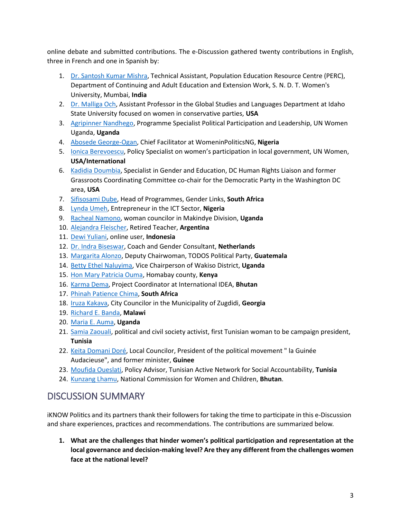online debate and submitted contributions. The e-Discussion gathered twenty contributions in English, three in French and one in Spanish by:

- 1. [Dr. Santosh Kumar Mishra,](http://iknowpolitics.org/en/comment/19170#comment-19170) Technical Assistant, Population Education Resource Centre (PERC), Department of Continuing and Adult Education and Extension Work, S. N. D. T. Women's University, Mumbai, **India**
- 2. [Dr. Malliga Och,](http://iknowpolitics.org/en/comment/19171#comment-19171) Assistant Professor in the Global Studies and Languages Department at Idaho State University focused on women in conservative parties, **USA**
- 3. [Agripinner Nandhego,](http://iknowpolitics.org/en/comment/19181#comment-19181) Programme Specialist Political Participation and Leadership, UN Women Uganda, **Uganda**
- 4. [Abosede George-Ogan,](http://iknowpolitics.org/en/comment/19182#comment-19182) Chief Facilitator at WomeninPoliticsNG, **Nigeria**
- 5. [Ionica Berevoescu](http://iknowpolitics.org/en/comment/19183#comment-19183), Policy Specialist on women's participation in local government, UN Women, **USA/International**
- 6. [Kadidia Doumbia,](http://iknowpolitics.org/en/comment/19185#comment-19185) Specialist in Gender and Education, DC Human Rights Liaison and former Grassroots Coordinating Committee co-chair for the Democratic Party in the Washington DC area, **USA**
- 7. [Sifisosami Dube,](http://iknowpolitics.org/en/comment/19190#comment-19190) Head of Programmes, Gender Links, **South Africa**
- 8. [Lynda Umeh,](http://iknowpolitics.org/en/comment/19200#comment-19200) Entrepreneur in the ICT Sector, **Nigeria**
- 9. [Racheal Namono,](http://iknowpolitics.org/en/comment/19207#comment-19207) woman councilor in Makindye Division, **Uganda**
- 10. [Alejandra Fleischer,](http://iknowpolitics.org/es/comment/19201#comment-19201) Retired Teacher, **Argentina**
- 11. [Dewi Yuliani,](http://iknowpolitics.org/en/comment/19175#comment-19175) online user, **Indonesia**
- 12. [Dr. Indra Biseswar,](http://iknowpolitics.org/en/comment/19180#comment-19180) Coach and Gender Consultant, **Netherlands**
- 13. [Margarita Alonzo,](http://iknowpolitics.org/en/comment/19209#comment-19209) Deputy Chairwoman, TODOS Political Party, **Guatemala**
- 14. [Betty Ethel Naluyima,](http://iknowpolitics.org/en/comment/19211#comment-19211) Vice Chairperson of Wakiso District, **Uganda**
- 15. [Hon Mary Patricia Ouma,](http://iknowpolitics.org/en/comment/19213#comment-19213) Homabay county, **Kenya**
- 16. [Karma Dema,](http://iknowpolitics.org/en/comment/19214#comment-19214) Project Coordinator at International IDEA, **Bhutan**
- 17. [Phinah Patience Chima,](http://iknowpolitics.org/en/comment/19215#comment-19215) **South Africa**
- 18. [Iruza Kakava,](http://iknowpolitics.org/en/comment/19216#comment-19216) City Councilor in the Municipality of Zugdidi, **Georgia**
- 19. [Richard E. Banda,](http://iknowpolitics.org/en/comment/19217#comment-19217) **Malawi**
- 20. [Maria E. Auma,](http://iknowpolitics.org/en/comment/19218#comment-19218) **Uganda**
- 21. [Samia Zaouali,](http://iknowpolitics.org/fr/comment/19206#comment-19206) political and civil society activist, first Tunisian woman to be campaign president, **Tunisia**
- 22. [Keita Domani Doré,](http://iknowpolitics.org/fr/comment/19210#comment-19210) Local Councilor, President of the political movement " la Guinée Audacieuse", and former minister, **Guinee**
- 23. [Moufida Oueslati,](http://iknowpolitics.org/fr/comment/19212#comment-19212) Policy Advisor, Tunisian Active Network for Social Accountability, **Tunisia**
- 24. [Kunzang Lhamu,](http://iknowpolitics.org/en/comment/19219#comment-19219) National Commission for Women and Children, **Bhutan**.

# DISCUSSION SUMMARY

iKNOW Politics and its partners thank their followers for taking the time to participate in this e-Discussion and share experiences, practices and recommendations. The contributions are summarized below.

**1. What are the challenges that hinder women's political participation and representation at the local governance and decision-making level? Are they any different from the challenges women face at the national level?**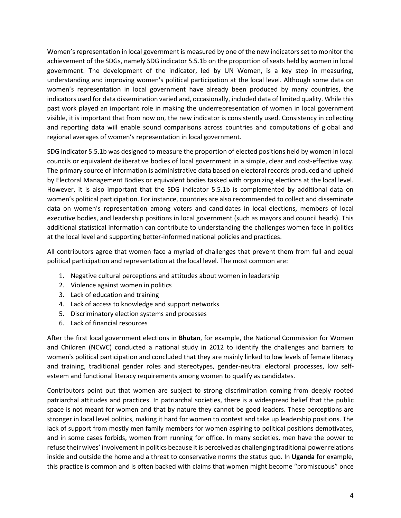Women's representation in local government is measured by one of the new indicators set to monitor the achievement of the SDGs, namely SDG indicator 5.5.1b on the proportion of seats held by women in local government. The development of the indicator, led by UN Women, is a key step in measuring, understanding and improving women's political participation at the local level. Although some data on women's representation in local government have already been produced by many countries, the indicators used for data dissemination varied and, occasionally, included data of limited quality. While this past work played an important role in making the underrepresentation of women in local government visible, it is important that from now on, the new indicator is consistently used. Consistency in collecting and reporting data will enable sound comparisons across countries and computations of global and regional averages of women's representation in local government.

SDG indicator 5.5.1b was designed to measure the proportion of elected positions held by women in local councils or equivalent deliberative bodies of local government in a simple, clear and cost-effective way. The primary source of information is administrative data based on electoral records produced and upheld by Electoral Management Bodies or equivalent bodies tasked with organizing elections at the local level. However, it is also important that the SDG indicator 5.5.1b is complemented by additional data on women's political participation. For instance, countries are also recommended to collect and disseminate data on women's representation among voters and candidates in local elections, members of local executive bodies, and leadership positions in local government (such as mayors and council heads). This additional statistical information can contribute to understanding the challenges women face in politics at the local level and supporting better-informed national policies and practices.

All contributors agree that women face a myriad of challenges that prevent them from full and equal political participation and representation at the local level. The most common are:

- 1. Negative cultural perceptions and attitudes about women in leadership
- 2. Violence against women in politics
- 3. Lack of education and training
- 4. Lack of access to knowledge and support networks
- 5. Discriminatory election systems and processes
- 6. Lack of financial resources

After the first local government elections in **Bhutan**, for example, the National Commission for Women and Children (NCWC) conducted a national study in 2012 to identify the challenges and barriers to women's political participation and concluded that they are mainly linked to low levels of female literacy and training, traditional gender roles and stereotypes, gender-neutral electoral processes, low selfesteem and functional literacy requirements among women to qualify as candidates.

Contributors point out that women are subject to strong discrimination coming from deeply rooted patriarchal attitudes and practices. In patriarchal societies, there is a widespread belief that the public space is not meant for women and that by nature they cannot be good leaders. These perceptions are stronger in local level politics, making it hard for women to contest and take up leadership positions. The lack of support from mostly men family members for women aspiring to political positions demotivates, and in some cases forbids, women from running for office. In many societies, men have the power to refuse their wives' involvement in politics because it is perceived as challenging traditional power relations inside and outside the home and a threat to conservative norms the status quo. In **Uganda** for example, this practice is common and is often backed with claims that women might become "promiscuous" once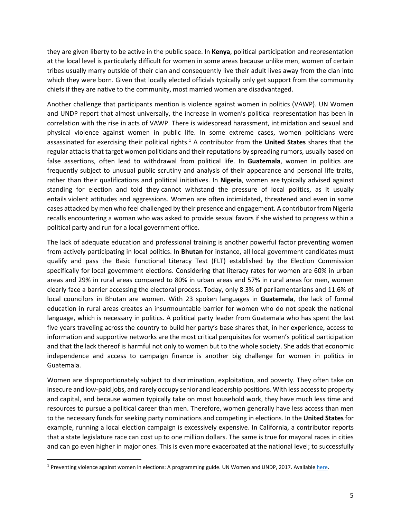they are given liberty to be active in the public space. In **Kenya**, political participation and representation at the local level is particularly difficult for women in some areas because unlike men, women of certain tribes usually marry outside of their clan and consequently live their adult lives away from the clan into which they were born. Given that locally elected officials typically only get support from the community chiefs if they are native to the community, most married women are disadvantaged.

Another challenge that participants mention is violence against women in politics (VAWP). UN Women and UNDP report that almost universally, the increase in women's political representation has been in correlation with the rise in acts of VAWP. There is widespread harassment, intimidation and sexual and physical violence against women in public life. In some extreme cases, women politicians were assassinated for exercising their political rights. <sup>1</sup> A contributor from the **United States** shares that the regular attacks that target women politicians and their reputations by spreading rumors, usually based on false assertions, often lead to withdrawal from political life. In **Guatemala**, women in politics are frequently subject to unusual public scrutiny and analysis of their appearance and personal life traits, rather than their qualifications and political initiatives. In **Nigeria**, women are typically advised against standing for election and told they cannot withstand the pressure of local politics, as it usually entails violent attitudes and aggressions. Women are often intimidated, threatened and even in some cases attacked by men who feel challenged by their presence and engagement. A contributor from Nigeria recalls encountering a woman who was asked to provide sexual favors if she wished to progress within a political party and run for a local government office.

The lack of adequate education and professional training is another powerful factor preventing women from actively participating in local politics. In **Bhutan** for instance, all local government candidates must qualify and pass the Basic Functional Literacy Test (FLT) established by the Election Commission specifically for local government elections. Considering that literacy rates for women are 60% in urban areas and 29% in rural areas compared to 80% in urban areas and 57% in rural areas for men, women clearly face a barrier accessing the electoral process. Today, only 8.3% of parliamentarians and 11.6% of local councilors in Bhutan are women. With 23 spoken languages in **Guatemala**, the lack of formal education in rural areas creates an insurmountable barrier for women who do not speak the national language, which is necessary in politics. A political party leader from Guatemala who has spent the last five years traveling across the country to build her party's base shares that, in her experience, access to information and supportive networks are the most critical perquisites for women's political participation and that the lack thereof is harmful not only to women but to the whole society. She adds that economic independence and access to campaign finance is another big challenge for women in politics in Guatemala.

Women are disproportionately subject to discrimination, exploitation, and poverty. They often take on insecure and low-paid jobs, and rarely occupy senior and leadership positions. With less access to property and capital, and because women typically take on most household work, they have much less time and resources to pursue a political career than men. Therefore, women generally have less access than men to the necessary funds for seeking party nominations and competing in elections. In the **United States** for example, running a local election campaign is excessively expensive. In California, a contributor reports that a state legislature race can cost up to one million dollars. The same is true for mayoral races in cities and can go even higher in major ones. This is even more exacerbated at the national level; to successfully

 $\overline{\phantom{a}}$ 

<sup>&</sup>lt;sup>1</sup> Preventing violence against women in elections: A programming guide. UN Women and UNDP, 2017. Available here.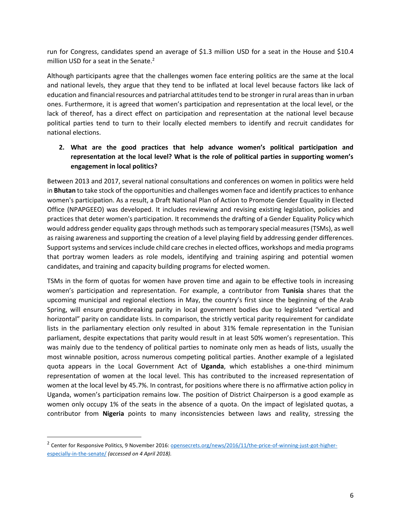run for Congress, candidates spend an average of \$1.3 million USD for a seat in the House and \$10.4 million USD for a seat in the Senate.<sup>2</sup>

Although participants agree that the challenges women face entering politics are the same at the local and national levels, they argue that they tend to be inflated at local level because factors like lack of education and financial resources and patriarchal attitudes tend to be stronger in rural areasthan in urban ones. Furthermore, it is agreed that women's participation and representation at the local level, or the lack of thereof, has a direct effect on participation and representation at the national level because political parties tend to turn to their locally elected members to identify and recruit candidates for national elections.

### **2. What are the good practices that help advance women's political participation and representation at the local level? What is the role of political parties in supporting women's engagement in local politics?**

Between 2013 and 2017, several national consultations and conferences on women in politics were held in **Bhutan** to take stock of the opportunities and challenges women face and identify practices to enhance women's participation. As a result, a Draft National Plan of Action to Promote Gender Equality in Elected Office (NPAPGEEO) was developed. It includes reviewing and revising existing legislation, policies and practices that deter women's participation. It recommends the drafting of a Gender Equality Policy which would address gender equality gaps through methods such as temporary special measures (TSMs), as well as raising awareness and supporting the creation of a level playing field by addressing gender differences. Support systems and services include child care creches in elected offices, workshops and media programs that portray women leaders as role models, identifying and training aspiring and potential women candidates, and training and capacity building programs for elected women.

TSMs in the form of quotas for women have proven time and again to be effective tools in increasing women's participation and representation. For example, a contributor from **Tunisia** shares that the upcoming municipal and regional elections in May, the country's first since the beginning of the Arab Spring, will ensure groundbreaking parity in local government bodies due to legislated "vertical and horizontal" parity on candidate lists. In comparison, the strictly vertical parity requirement for candidate lists in the parliamentary election only resulted in about 31% female representation in the Tunisian parliament, despite expectations that parity would result in at least 50% women's representation. This was mainly due to the tendency of political parties to nominate only men as heads of lists, usually the most winnable position, across numerous competing political parties. Another example of a legislated quota appears in the Local Government Act of **Uganda**, which establishes a one-third minimum representation of women at the local level. This has contributed to the increased representation of women at the local level by 45.7%. In contrast, for positions where there is no affirmative action policy in Uganda, women's participation remains low. The position of District Chairperson is a good example as women only occupy 1% of the seats in the absence of a quota. On the impact of legislated quotas, a contributor from **Nigeria** points to many inconsistencies between laws and reality, stressing the

 $\overline{\phantom{a}}$ 

<sup>&</sup>lt;sup>2</sup> Center for Responsive Politics, 9 November 2016: <u>opensecrets.org/news/2016/11/the-price-of-winning-just-got-higher-</u> [especially-in-the-senate/](https://www.opensecrets.org/news/2016/11/the-price-of-winning-just-got-higher-especially-in-the-senate/) *(accessed on 4 April 2018).*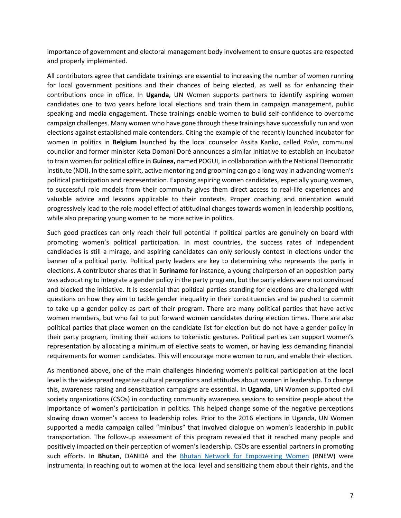importance of government and electoral management body involvement to ensure quotas are respected and properly implemented.

All contributors agree that candidate trainings are essential to increasing the number of women running for local government positions and their chances of being elected, as well as for enhancing their contributions once in office. In **Uganda**, UN Women supports partners to identify aspiring women candidates one to two years before local elections and train them in campaign management, public speaking and media engagement. These trainings enable women to build self-confidence to overcome campaign challenges. Many women who have gone through these trainings have successfully run and won elections against established male contenders. Citing the example of the recently launched incubator for women in politics in **Belgium** launched by the local counselor Assita Kanko, called *Polin*, communal councilor and former minister Keta Domani Doré announces a similar initiative to establish an incubator to train women for political office in **Guinea,** named POGUI, in collaboration with the National Democratic Institute (NDI). In the same spirit, active mentoring and grooming can go a long way in advancing women's political participation and representation. Exposing aspiring women candidates, especially young women, to successful role models from their community gives them direct access to real-life experiences and valuable advice and lessons applicable to their contexts. Proper coaching and orientation would progressively lead to the role model effect of attitudinal changes towards women in leadership positions, while also preparing young women to be more active in politics.

Such good practices can only reach their full potential if political parties are genuinely on board with promoting women's political participation. In most countries, the success rates of independent candidacies is still a mirage, and aspiring candidates can only seriously contest in elections under the banner of a political party. Political party leaders are key to determining who represents the party in elections. A contributor shares that in **Suriname** for instance, a young chairperson of an opposition party was advocating to integrate a gender policy in the party program, but the party elders were not convinced and blocked the initiative. It is essential that political parties standing for elections are challenged with questions on how they aim to tackle gender inequality in their constituencies and be pushed to commit to take up a gender policy as part of their program. There are many political parties that have active women members, but who fail to put forward women candidates during election times. There are also political parties that place women on the candidate list for election but do not have a gender policy in their party program, limiting their actions to tokenistic gestures. Political parties can support women's representation by allocating a minimum of elective seats to women, or having less demanding financial requirements for women candidates. This will encourage more women to run, and enable their election.

As mentioned above, one of the main challenges hindering women's political participation at the local level is the widespread negative cultural perceptions and attitudes about women in leadership. To change this, awareness raising and sensitization campaigns are essential. In **Uganda**, UN Women supported civil society organizations (CSOs) in conducting community awareness sessions to sensitize people about the importance of women's participation in politics. This helped change some of the negative perceptions slowing down women's access to leadership roles. Prior to the 2016 elections in Uganda, UN Women supported a media campaign called "minibus" that involved dialogue on women's leadership in public transportation. The follow-up assessment of this program revealed that it reached many people and positively impacted on their perception of women's leadership. CSOs are essential partners in promoting such efforts. In **Bhutan**, DANIDA and the [Bhutan Network for Empowering Women](http://www.bnew.bt/) (BNEW) were instrumental in reaching out to women at the local level and sensitizing them about their rights, and the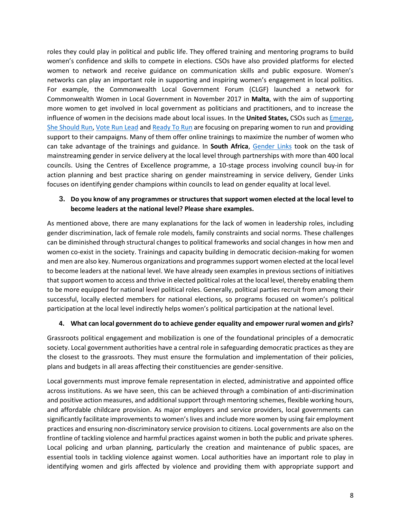roles they could play in political and public life. They offered training and mentoring programs to build women's confidence and skills to compete in elections. CSOs have also provided platforms for elected women to network and receive guidance on communication skills and public exposure. Women's networks can play an important role in supporting and inspiring women's engagement in local politics. For example, the Commonwealth Local Government Forum (CLGF) launched a network for Commonwealth Women in Local Government in November 2017 in **Malta**, with the aim of supporting more women to get involved in local government as politicians and practitioners, and to increase the influence of women in the decisions made about local issues. In the **United States,** CSOs such as [Emerge,](https://emerge.ngpvanhost.com/) [She Should Run,](http://www.sheshouldrun.org/) [Vote Run Lead](https://voterunlead.org/) and [Ready To Run](http://www.cawp.rutgers.edu/education_training/ready_to_run/overview) are focusing on preparing women to run and providing support to their campaigns. Many of them offer online trainings to maximize the number of women who can take advantage of the trainings and guidance. In **South Africa**, [Gender Links](http://genderlinks.org.za/) took on the task of mainstreaming gender in service delivery at the local level through partnerships with more than 400 local councils. Using the Centres of Excellence programme, a 10-stage process involving council buy-in for action planning and best practice sharing on gender mainstreaming in service delivery, Gender Links focuses on identifying gender champions within councils to lead on gender equality at local level.

### **3. Do you know of any programmes or structures that support women elected at the local level to become leaders at the national level? Please share examples.**

As mentioned above, there are many explanations for the lack of women in leadership roles, including gender discrimination, lack of female role models, family constraints and social norms. These challenges can be diminished through structural changes to political frameworks and social changes in how men and women co-exist in the society. Trainings and capacity building in democratic decision-making for women and men are also key. Numerous organizations and programmes support women elected at the local level to become leaders at the national level. We have already seen examples in previous sections of initiatives that support women to access and thrive in elected political roles at the local level, thereby enabling them to be more equipped for national level political roles. Generally, political parties recruit from among their successful, locally elected members for national elections, so programs focused on women's political participation at the local level indirectly helps women's political participation at the national level.

#### **4. What can local government do to achieve gender equality and empower rural women and girls?**

Grassroots political engagement and mobilization is one of the foundational principles of a democratic society. Local government authorities have a central role in safeguarding democratic practices as they are the closest to the grassroots. They must ensure the formulation and implementation of their policies, plans and budgets in all areas affecting their constituencies are gender-sensitive.

Local governments must improve female representation in elected, administrative and appointed office across institutions. As we have seen, this can be achieved through a combination of anti-discrimination and positive action measures, and additional support through mentoring schemes, flexible working hours, and affordable childcare provision. As major employers and service providers, local governments can significantly facilitate improvements to women's lives and include more women by using fair employment practices and ensuring non-discriminatory service provision to citizens. Local governments are also on the frontline of tackling violence and harmful practices against women in both the public and private spheres. Local policing and urban planning, particularly the creation and maintenance of public spaces, are essential tools in tackling violence against women. Local authorities have an important role to play in identifying women and girls affected by violence and providing them with appropriate support and